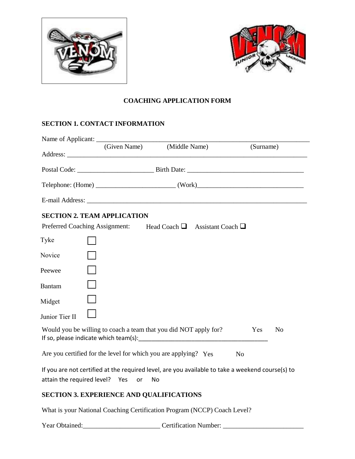



# **COACHING APPLICATION FORM**

## **SECTION 1. CONTACT INFORMATION**

|                                    |    | (Given Name) (Middle Name)                                                                             | (Surname)      |                |
|------------------------------------|----|--------------------------------------------------------------------------------------------------------|----------------|----------------|
|                                    |    |                                                                                                        |                |                |
|                                    |    |                                                                                                        |                |                |
|                                    |    |                                                                                                        |                |                |
| <b>SECTION 2. TEAM APPLICATION</b> |    |                                                                                                        |                |                |
| Preferred Coaching Assignment:     |    | Head Coach $\Box$ Assistant Coach $\Box$                                                               |                |                |
| Tyke                               |    |                                                                                                        |                |                |
| Novice                             |    |                                                                                                        |                |                |
| Peewee                             |    |                                                                                                        |                |                |
| <b>Bantam</b>                      |    |                                                                                                        |                |                |
| Midget                             |    |                                                                                                        |                |                |
| Junior Tier II                     |    |                                                                                                        |                |                |
|                                    |    | Would you be willing to coach a team that you did NOT apply for?                                       | Yes            | N <sub>o</sub> |
|                                    |    | Are you certified for the level for which you are applying? Yes                                        | N <sub>o</sub> |                |
| attain the required level? Yes     | or | If you are not certified at the required level, are you available to take a weekend course(s) to<br>No |                |                |

# **SECTION 3. EXPERIENCE AND QUALIFICATIONS**

What is your National Coaching Certification Program (NCCP) Coach Level?

Year Obtained:\_\_\_\_\_\_\_\_\_\_\_\_\_\_\_\_\_\_\_\_\_\_\_ Certification Number: \_\_\_\_\_\_\_\_\_\_\_\_\_\_\_\_\_\_\_\_\_\_\_\_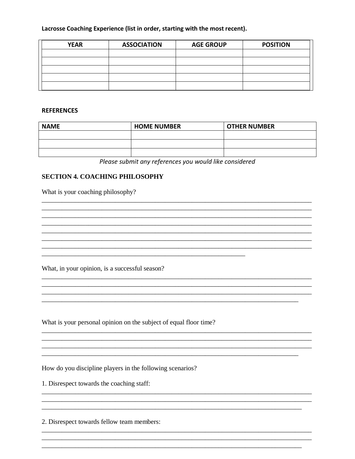### Lacrosse Coaching Experience (list in order, starting with the most recent).

| <b>YEAR</b> | <b>ASSOCIATION</b> | <b>AGE GROUP</b> | <b>POSITION</b> |
|-------------|--------------------|------------------|-----------------|
|             |                    |                  |                 |
|             |                    |                  |                 |
|             |                    |                  |                 |
|             |                    |                  |                 |
|             |                    |                  |                 |

#### **REFERENCES**

| <b>NAME</b> | <b>HOME NUMBER</b> | <b>OTHER NUMBER</b> |
|-------------|--------------------|---------------------|
|             |                    |                     |
|             |                    |                     |
|             |                    |                     |

Please submit any references you would like considered

### **SECTION 4. COACHING PHILOSOPHY**

What is your coaching philosophy?

What, in your opinion, is a successful season?

What is your personal opinion on the subject of equal floor time?

How do you discipline players in the following scenarios?

1. Disrespect towards the coaching staff:

2. Disrespect towards fellow team members: